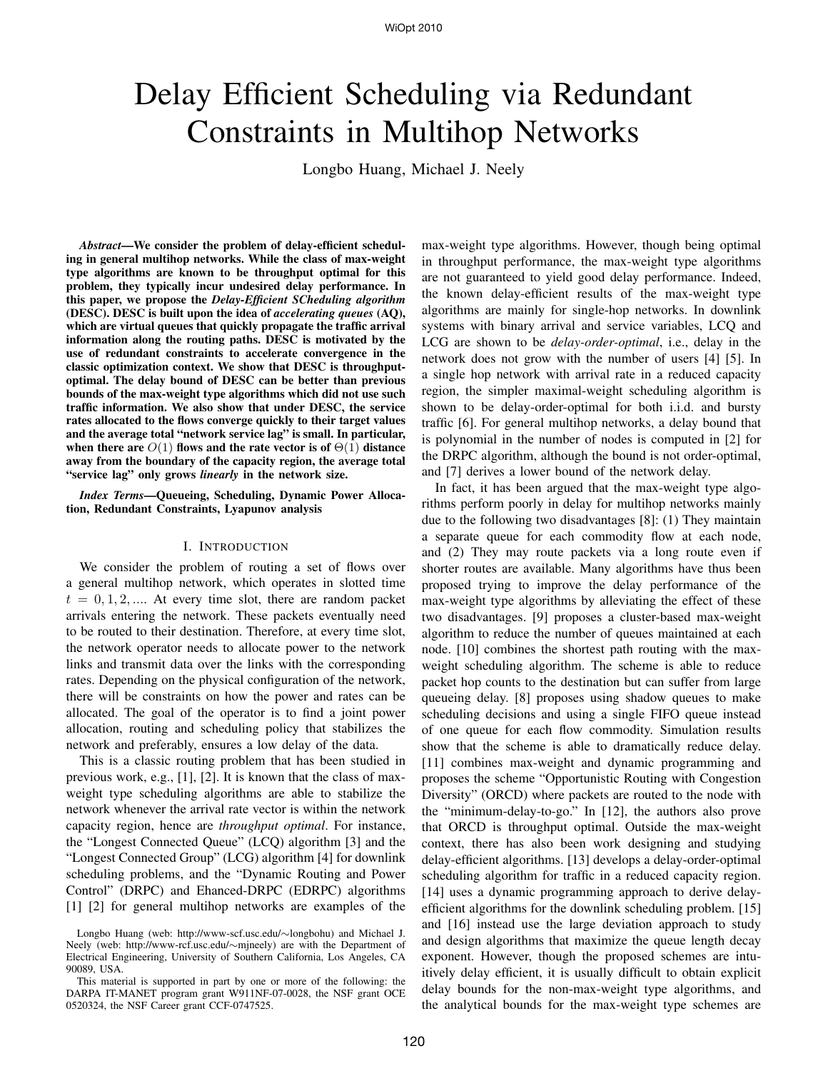# Delay Efficient Scheduling via Redundant Constraints in Multihop Networks

Longbo Huang, Michael J. Neely

*Abstract*—We consider the problem of delay-efficient scheduling in general multihop networks. While the class of max-weight type algorithms are known to be throughput optimal for this problem, they typically incur undesired delay performance. In this paper, we propose the *Delay-Efficient SCheduling algorithm* (DESC). DESC is built upon the idea of *accelerating queues* (AQ), which are virtual queues that quickly propagate the traffic arrival information along the routing paths. DESC is motivated by the use of redundant constraints to accelerate convergence in the classic optimization context. We show that DESC is throughputoptimal. The delay bound of DESC can be better than previous bounds of the max-weight type algorithms which did not use such traffic information. We also show that under DESC, the service rates allocated to the flows converge quickly to their target values and the average total "network service lag" is small. In particular, when there are  $O(1)$  flows and the rate vector is of  $\Theta(1)$  distance away from the boundary of the capacity region, the average total "service lag" only grows *linearly* in the network size.

*Index Terms*—Queueing, Scheduling, Dynamic Power Allocation, Redundant Constraints, Lyapunov analysis

#### I. INTRODUCTION

We consider the problem of routing a set of flows over a general multihop network, which operates in slotted time  $t = 0, 1, 2, \dots$ . At every time slot, there are random packet arrivals entering the network. These packets eventually need to be routed to their destination. Therefore, at every time slot, the network operator needs to allocate power to the network links and transmit data over the links with the corresponding rates. Depending on the physical configuration of the network, there will be constraints on how the power and rates can be allocated. The goal of the operator is to find a joint power allocation, routing and scheduling policy that stabilizes the network and preferably, ensures a low delay of the data.

This is a classic routing problem that has been studied in previous work, e.g., [1], [2]. It is known that the class of maxweight type scheduling algorithms are able to stabilize the network whenever the arrival rate vector is within the network capacity region, hence are *throughput optimal*. For instance, the "Longest Connected Queue" (LCQ) algorithm [3] and the "Longest Connected Group" (LCG) algorithm [4] for downlink scheduling problems, and the "Dynamic Routing and Power Control" (DRPC) and Ehanced-DRPC (EDRPC) algorithms [1] [2] for general multihop networks are examples of the max-weight type algorithms. However, though being optimal in throughput performance, the max-weight type algorithms are not guaranteed to yield good delay performance. Indeed, the known delay-efficient results of the max-weight type algorithms are mainly for single-hop networks. In downlink systems with binary arrival and service variables, LCQ and LCG are shown to be *delay-order-optimal*, i.e., delay in the network does not grow with the number of users [4] [5]. In a single hop network with arrival rate in a reduced capacity region, the simpler maximal-weight scheduling algorithm is shown to be delay-order-optimal for both i.i.d. and bursty traffic [6]. For general multihop networks, a delay bound that is polynomial in the number of nodes is computed in [2] for the DRPC algorithm, although the bound is not order-optimal, and [7] derives a lower bound of the network delay.

In fact, it has been argued that the max-weight type algorithms perform poorly in delay for multihop networks mainly due to the following two disadvantages [8]: (1) They maintain a separate queue for each commodity flow at each node, and (2) They may route packets via a long route even if shorter routes are available. Many algorithms have thus been proposed trying to improve the delay performance of the max-weight type algorithms by alleviating the effect of these two disadvantages. [9] proposes a cluster-based max-weight algorithm to reduce the number of queues maintained at each node. [10] combines the shortest path routing with the maxweight scheduling algorithm. The scheme is able to reduce packet hop counts to the destination but can suffer from large queueing delay. [8] proposes using shadow queues to make scheduling decisions and using a single FIFO queue instead of one queue for each flow commodity. Simulation results show that the scheme is able to dramatically reduce delay. [11] combines max-weight and dynamic programming and proposes the scheme "Opportunistic Routing with Congestion Diversity" (ORCD) where packets are routed to the node with the "minimum-delay-to-go." In [12], the authors also prove that ORCD is throughput optimal. Outside the max-weight context, there has also been work designing and studying delay-efficient algorithms. [13] develops a delay-order-optimal scheduling algorithm for traffic in a reduced capacity region. [14] uses a dynamic programming approach to derive delayefficient algorithms for the downlink scheduling problem. [15] and [16] instead use the large deviation approach to study and design algorithms that maximize the queue length decay exponent. However, though the proposed schemes are intuitively delay efficient, it is usually difficult to obtain explicit delay bounds for the non-max-weight type algorithms, and the analytical bounds for the max-weight type schemes are

Longbo Huang (web: http://www-scf.usc.edu/∼longbohu) and Michael J. Neely (web: http://www-rcf.usc.edu/∼mjneely) are with the Department of Electrical Engineering, University of Southern California, Los Angeles, CA 90089, USA.

This material is supported in part by one or more of the following: the DARPA IT-MANET program grant W911NF-07-0028, the NSF grant OCE 0520324, the NSF Career grant CCF-0747525.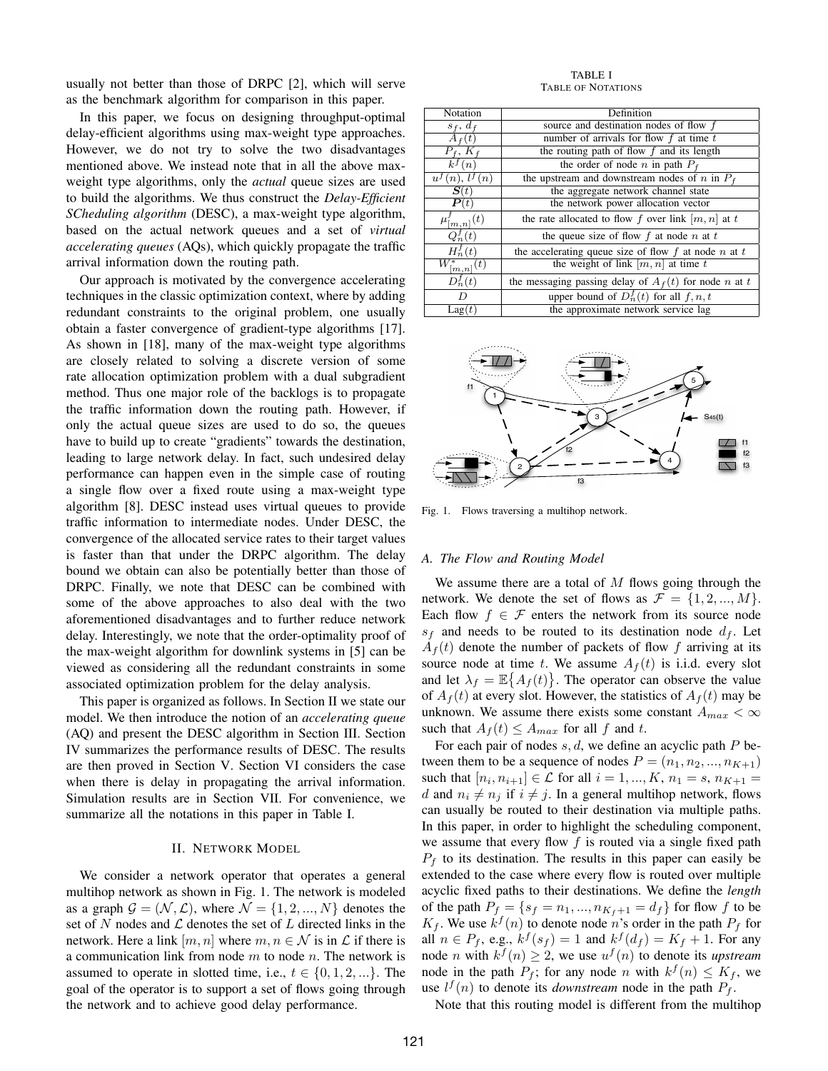usually not better than those of DRPC [2], which will serve as the benchmark algorithm for comparison in this paper.

In this paper, we focus on designing throughput-optimal delay-efficient algorithms using max-weight type approaches. However, we do not try to solve the two disadvantages mentioned above. We instead note that in all the above maxweight type algorithms, only the *actual* queue sizes are used to build the algorithms. We thus construct the *Delay-Efficient SCheduling algorithm* (DESC), a max-weight type algorithm, based on the actual network queues and a set of *virtual accelerating queues* (AQs), which quickly propagate the traffic arrival information down the routing path.

Our approach is motivated by the convergence accelerating techniques in the classic optimization context, where by adding redundant constraints to the original problem, one usually obtain a faster convergence of gradient-type algorithms [17]. As shown in [18], many of the max-weight type algorithms are closely related to solving a discrete version of some rate allocation optimization problem with a dual subgradient method. Thus one major role of the backlogs is to propagate the traffic information down the routing path. However, if only the actual queue sizes are used to do so, the queues have to build up to create "gradients" towards the destination, leading to large network delay. In fact, such undesired delay performance can happen even in the simple case of routing a single flow over a fixed route using a max-weight type algorithm [8]. DESC instead uses virtual queues to provide traffic information to intermediate nodes. Under DESC, the convergence of the allocated service rates to their target values is faster than that under the DRPC algorithm. The delay bound we obtain can also be potentially better than those of DRPC. Finally, we note that DESC can be combined with some of the above approaches to also deal with the two aforementioned disadvantages and to further reduce network delay. Interestingly, we note that the order-optimality proof of the max-weight algorithm for downlink systems in [5] can be viewed as considering all the redundant constraints in some associated optimization problem for the delay analysis.

This paper is organized as follows. In Section II we state our model. We then introduce the notion of an *accelerating queue* (AQ) and present the DESC algorithm in Section III. Section IV summarizes the performance results of DESC. The results are then proved in Section V. Section VI considers the case when there is delay in propagating the arrival information. Simulation results are in Section VII. For convenience, we summarize all the notations in this paper in Table I.

#### II. NETWORK MODEL

We consider a network operator that operates a general multihop network as shown in Fig. 1. The network is modeled as a graph  $\mathcal{G} = (\mathcal{N}, \mathcal{L})$ , where  $\mathcal{N} = \{1, 2, ..., N\}$  denotes the set of N nodes and  $\mathcal L$  denotes the set of L directed links in the network. Here a link  $[m, n]$  where  $m, n \in \mathcal{N}$  is in  $\mathcal{L}$  if there is a communication link from node  $m$  to node  $n$ . The network is assumed to operate in slotted time, i.e.,  $t \in \{0, 1, 2, ...\}$ . The goal of the operator is to support a set of flows going through the network and to achieve good delay performance.

TABLE I TABLE OF NOTATIONS

| Notation                  | Definition                                                            |
|---------------------------|-----------------------------------------------------------------------|
| $s_f, d_f$                | source and destination nodes of flow $f$                              |
| $A_f(t)$                  | number of arrivals for flow $f$ at time $t$                           |
| $P_f, \overline{K_f}$     | the routing path of flow $f$ and its length                           |
| $k^f(n)$                  | the order of node <i>n</i> in path $P_f$                              |
| $u^f(n)$ , $l^f(n)$       | the upstream and downstream nodes of n in $P_f$                       |
| $\overline{S(t)}$         | the aggregate network channel state                                   |
| $\boldsymbol{P}(t)$       | the network power allocation vector                                   |
| $\mu_{[m,n]}^{\jmath}(t)$ | the rate allocated to flow f over link $[m, n]$ at t                  |
| $Q_n^J(t)$                | the queue size of flow $f$ at node $n$ at $t$                         |
| $H_n^f(t)$                | the accelerating queue size of flow $f$ at node $n$ at $t$            |
| $W^*_{[m,n]}(t)$          | the weight of link $[m, n]$ at time t                                 |
| $D_n^J(t)$                | the messaging passing delay of $A_f(t)$ for node <i>n</i> at <i>t</i> |
| D                         | upper bound of $D_n^f(t)$ for all $f, n, t$                           |
| $\text{Lag}(t)$           | the approximate network service lag                                   |



Fig. 1. Flows traversing a multihop network.

### *A. The Flow and Routing Model*

We assume there are a total of  $M$  flows going through the network. We denote the set of flows as  $\mathcal{F} = \{1, 2, ..., M\}.$ Each flow  $f \in \mathcal{F}$  enters the network from its source node  $s_f$  and needs to be routed to its destination node  $d_f$ . Let  $A_f(t)$  denote the number of packets of flow f arriving at its source node at time t. We assume  $A_f(t)$  is i.i.d. every slot and let  $\lambda_f = \mathbb{E}\big\{A_f(t)\big\}$ . The operator can observe the value of  $A_f(t)$  at every slot. However, the statistics of  $A_f(t)$  may be unknown. We assume there exists some constant  $A_{max} < \infty$ such that  $A_f(t) \leq A_{max}$  for all f and t.

For each pair of nodes  $s, d$ , we define an acyclic path  $P$  between them to be a sequence of nodes  $P = (n_1, n_2, ..., n_{K+1})$ such that  $[n_i, n_{i+1}] \in \mathcal{L}$  for all  $i = 1, ..., K$ ,  $n_1 = s$ ,  $n_{K+1} =$ d and  $n_i \neq n_j$  if  $i \neq j$ . In a general multihop network, flows can usually be routed to their destination via multiple paths. In this paper, in order to highlight the scheduling component, we assume that every flow  $f$  is routed via a single fixed path  $P_f$  to its destination. The results in this paper can easily be extended to the case where every flow is routed over multiple acyclic fixed paths to their destinations. We define the *length* of the path  $P_f = \{s_f = n_1, ..., n_{K_f+1} = d_f\}$  for flow f to be  $K_f$ . We use  $k^f(n)$  to denote node n's order in the path  $P_f$  for all  $n \in P_f$ , e.g.,  $k^f(s_f) = 1$  and  $k^f(d_f) = K_f + 1$ . For any node *n* with  $k^{f}(n) \geq 2$ , we use  $u^{f}(n)$  to denote its *upstream* node in the path  $P_f$ ; for any node n with  $k^f(n) \leq K_f$ , we use  $l^f(n)$  to denote its *downstream* node in the path  $P_f$ .

Note that this routing model is different from the multihop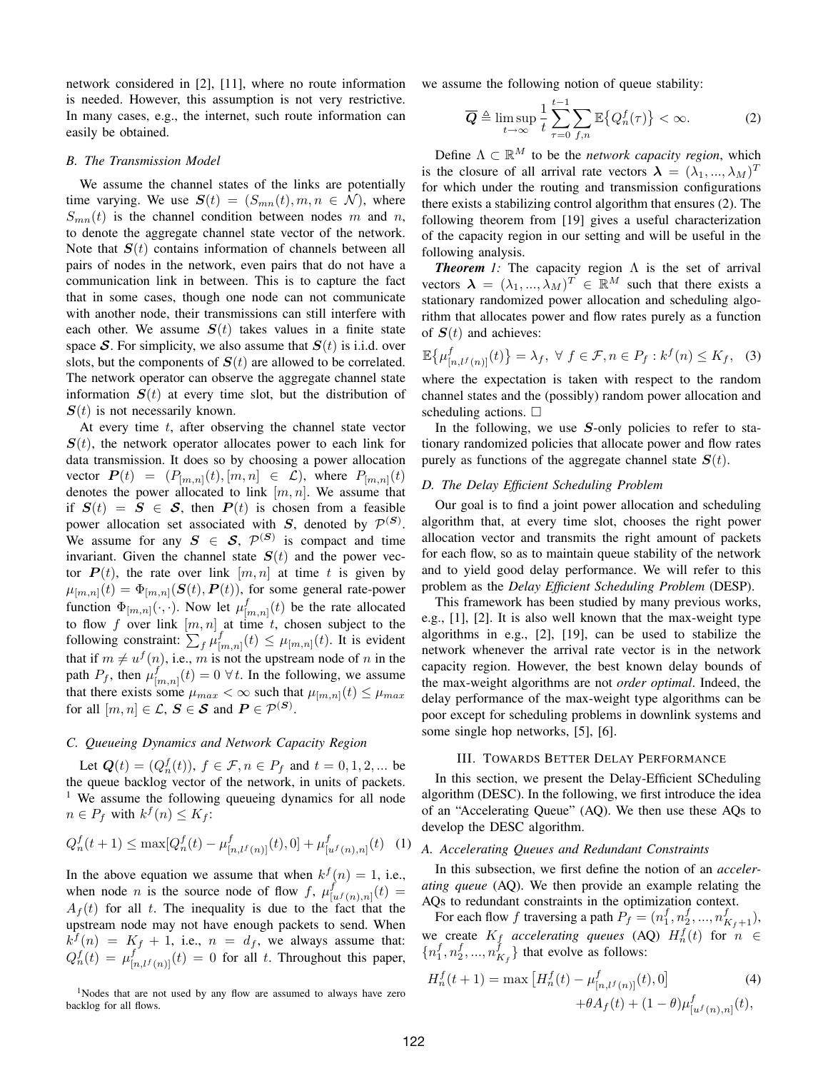network considered in [2], [11], where no route information is needed. However, this assumption is not very restrictive. In many cases, e.g., the internet, such route information can easily be obtained.

#### *B. The Transmission Model*

We assume the channel states of the links are potentially time varying. We use  $S(t) = (S_{mn}(t), m, n \in \mathcal{N})$ , where  $S_{mn}(t)$  is the channel condition between nodes m and n, to denote the aggregate channel state vector of the network. Note that  $S(t)$  contains information of channels between all pairs of nodes in the network, even pairs that do not have a communication link in between. This is to capture the fact that in some cases, though one node can not communicate with another node, their transmissions can still interfere with each other. We assume  $S(t)$  takes values in a finite state space S. For simplicity, we also assume that  $S(t)$  is i.i.d. over slots, but the components of  $S(t)$  are allowed to be correlated. The network operator can observe the aggregate channel state information  $S(t)$  at every time slot, but the distribution of  $S(t)$  is not necessarily known.

At every time  $t$ , after observing the channel state vector  $S(t)$ , the network operator allocates power to each link for data transmission. It does so by choosing a power allocation vector  $P(t) = (P_{[m,n]}(t), [m,n] \in \mathcal{L})$ , where  $P_{[m,n]}(t)$ denotes the power allocated to link  $[m, n]$ . We assume that if  $S(t) = S \in S$ , then  $P(t)$  is chosen from a feasible power allocation set associated with S, denoted by  $\mathcal{P}^{(S)}$ . We assume for any  $S \in S$ ,  $\mathcal{P}^{(S)}$  is compact and time invariant. Given the channel state  $S(t)$  and the power vector  $P(t)$ , the rate over link  $[m, n]$  at time t is given by  $\mu_{[m,n]}(t) = \Phi_{[m,n]}(\mathbf{S}(t), \mathbf{P}(t))$ , for some general rate-power function  $\Phi_{[m,n]}(\cdot,\cdot)$ . Now let  $\mu_{[n]}^f$  $L_{[m,n]}^{J}(t)$  be the rate allocated to flow f over link  $[m, n]$  at time t, chosen subject to the following constraint:  $\sum_f \mu_{[1]}^f$  $\mu_{[m,n]}(t) \leq \mu_{[m,n]}(t)$ . It is evident that if  $m \neq u^f(n)$ , i.e., m is not the upstream node of n in the path  $P_f$ , then  $\mu_1^f$  $\big[_{[m,n]}^{J}(t) = 0 \,\,\forall \,t$ . In the following, we assume that there exists some  $\mu_{max} < \infty$  such that  $\mu_{[m,n]}(t) \leq \mu_{max}$ for all  $[m,n] \in \mathcal{L}, \, \mathbf{S} \in \mathcal{S}$  and  $\mathbf{P} \in \mathcal{P}^{(\mathcal{S})}$ .

## *C. Queueing Dynamics and Network Capacity Region*

Let  $Q(t) = (Q_n^f(t)), f \in \mathcal{F}, n \in P_f$  and  $t = 0, 1, 2, ...$  be the queue backlog vector of the network, in units of packets. <sup>1</sup> We assume the following queueing dynamics for all node  $n \in P_f$  with  $k^f(n) \leq K_f$ :

$$
Q_n^f(t+1) \le \max[Q_n^f(t) - \mu_{[n,l^f(n)]}^f(t), 0] + \mu_{[u^f(n),n]}^f(t) \tag{1}
$$

In the above equation we assume that when  $k^{f}(n) = 1$ , i.e., when node *n* is the source node of flow f,  $\mu_{[u^f(n),n]}^f(t) =$  $A_f(t)$  for all t. The inequality is due to the fact that the upstream node may not have enough packets to send. When  $k^{f}(n) = K_f + 1$ , i.e.,  $n = d_f$ , we always assume that:  $Q_n^f(t) = \mu_{[n, l^f(n)]}^f(t) = 0$  for all t. Throughout this paper,

<sup>1</sup>Nodes that are not used by any flow are assumed to always have zero backlog for all flows.

we assume the following notion of queue stability:

$$
\overline{Q} \triangleq \limsup_{t \to \infty} \frac{1}{t} \sum_{\tau=0}^{t-1} \sum_{f,n} \mathbb{E} \{ Q_n^f(\tau) \} < \infty. \tag{2}
$$

Define  $\Lambda \subset \mathbb{R}^M$  to be the *network capacity region*, which is the closure of all arrival rate vectors  $\boldsymbol{\lambda} = (\lambda_1, ..., \lambda_M)^T$ for which under the routing and transmission configurations there exists a stabilizing control algorithm that ensures (2). The following theorem from [19] gives a useful characterization of the capacity region in our setting and will be useful in the following analysis.

*Theorem 1:* The capacity region  $\Lambda$  is the set of arrival vectors  $\boldsymbol{\lambda} = (\lambda_1, ..., \lambda_M)^T \in \mathbb{R}^M$  such that there exists a stationary randomized power allocation and scheduling algorithm that allocates power and flow rates purely as a function of  $S(t)$  and achieves:

$$
\mathbb{E}\big\{\mu_{[n,l^f(n)]}^f(t)\big\} = \lambda_f, \ \forall \ f \in \mathcal{F}, n \in P_f : k^f(n) \le K_f, \tag{3}
$$

where the expectation is taken with respect to the random channel states and the (possibly) random power allocation and scheduling actions.  $\square$ 

In the following, we use  $S$ -only policies to refer to stationary randomized policies that allocate power and flow rates purely as functions of the aggregate channel state  $S(t)$ .

## *D. The Delay Efficient Scheduling Problem*

Our goal is to find a joint power allocation and scheduling algorithm that, at every time slot, chooses the right power allocation vector and transmits the right amount of packets for each flow, so as to maintain queue stability of the network and to yield good delay performance. We will refer to this problem as the *Delay Efficient Scheduling Problem* (DESP).

This framework has been studied by many previous works, e.g., [1], [2]. It is also well known that the max-weight type algorithms in e.g., [2], [19], can be used to stabilize the network whenever the arrival rate vector is in the network capacity region. However, the best known delay bounds of the max-weight algorithms are not *order optimal*. Indeed, the delay performance of the max-weight type algorithms can be poor except for scheduling problems in downlink systems and some single hop networks, [5], [6].

## III. TOWARDS BETTER DELAY PERFORMANCE

In this section, we present the Delay-Efficient SCheduling algorithm (DESC). In the following, we first introduce the idea of an "Accelerating Queue" (AQ). We then use these AQs to develop the DESC algorithm.

## *A. Accelerating Queues and Redundant Constraints*

In this subsection, we first define the notion of an *accelerating queue* (AQ). We then provide an example relating the AQs to redundant constraints in the optimization context.

For each flow f traversing a path  $P_f = (n_1^f, n_2^f, ..., n_{K_f+1}^f)$ , we create  $K_f$  *accelerating queues* (AQ)  $H_n^f(t)$  for  $n \in$  ${n_1^f, n_2^f, ..., n_{K_f}^f}$  that evolve as follows:

$$
H_n^f(t+1) = \max \left[ H_n^f(t) - \mu_{[n,l^f(n)]}^f(t), 0 \right]
$$
  
+  $\theta A_f(t) + (1 - \theta) \mu_{[u^f(n),n]}^f(t),$  (4)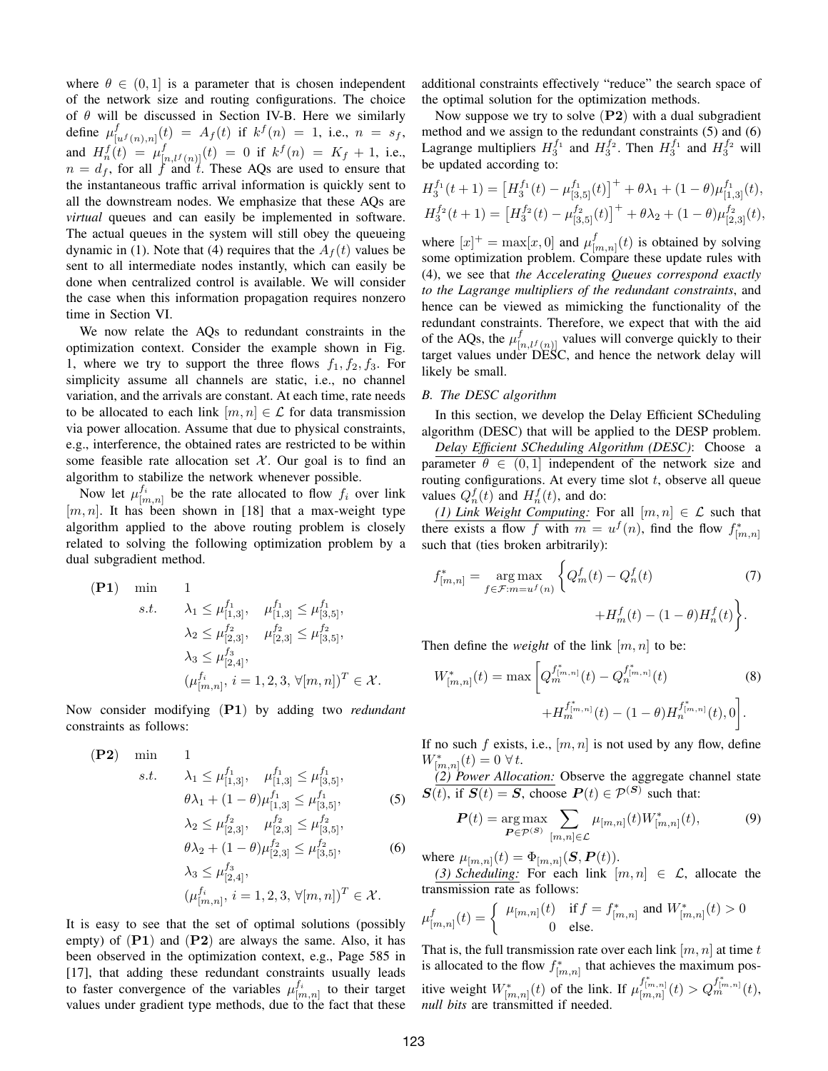where  $\theta \in (0, 1]$  is a parameter that is chosen independent of the network size and routing configurations. The choice of  $\theta$  will be discussed in Section IV-B. Here we similarly define  $\mu^f_{[u^f(n),n]}(t) = A_f(t)$  if  $k^f(n) = 1$ , i.e.,  $n = s_f$ , and  $H_n^f(t) = \mu_{[n,l^f(n)]}^f(t) = 0$  if  $k^f(n) = K_f + 1$ , i.e.,  $n = d_f$ , for all f and t. These AQs are used to ensure that the instantaneous traffic arrival information is quickly sent to all the downstream nodes. We emphasize that these AQs are *virtual* queues and can easily be implemented in software. The actual queues in the system will still obey the queueing dynamic in (1). Note that (4) requires that the  $A_f(t)$  values be sent to all intermediate nodes instantly, which can easily be done when centralized control is available. We will consider the case when this information propagation requires nonzero time in Section VI.

We now relate the AQs to redundant constraints in the optimization context. Consider the example shown in Fig. 1, where we try to support the three flows  $f_1, f_2, f_3$ . For simplicity assume all channels are static, i.e., no channel variation, and the arrivals are constant. At each time, rate needs to be allocated to each link  $[m, n] \in \mathcal{L}$  for data transmission via power allocation. Assume that due to physical constraints, e.g., interference, the obtained rates are restricted to be within some feasible rate allocation set  $X$ . Our goal is to find an algorithm to stabilize the network whenever possible.

Now let  $\mu_{[m,n]}^{f_i}$  be the rate allocated to flow  $f_i$  over link  $[m, n]$ . It has been shown in [18] that a max-weight type algorithm applied to the above routing problem is closely related to solving the following optimization problem by a dual subgradient method.

(P1) min 1  
\ns.t. 
$$
\lambda_1 \leq \mu_{[1,3]}^{f_1}, \quad \mu_{[1,3]}^{f_1} \leq \mu_{[3,5]}^{f_1},
$$
  
\n $\lambda_2 \leq \mu_{[2,3]}^{f_2}, \quad \mu_{[2,3]}^{f_2} \leq \mu_{[3,5]}^{f_2},$   
\n $\lambda_3 \leq \mu_{[2,4]}^{f_3},$   
\n $(\mu_{[m,n]}^{f_i}, i = 1, 2, 3, \forall [m,n])^T \in \mathcal{X}.$ 

Now consider modifying (P1) by adding two *redundant* constraints as follows:

$$
\begin{array}{ll}\n\textbf{(P2)} & \text{min} & 1 \\
s.t. & \lambda_1 \le \mu_{[1,3]}^{f_1}, \quad \mu_{[1,3]}^{f_1} \le \mu_{[3,5]}^{f_1}, \\
\theta \lambda_1 + (1 - \theta)\mu_{[1,3]}^{f_1} \le \mu_{[3,5]}^{f_1},\n\end{array} \tag{5}
$$

$$
\lambda_2 \le \mu_{[2,3]}^{f_2}, \quad \mu_{[2,3]}^{f_2} \le \mu_{[3,5]}^{f_2},
$$
  
\n
$$
\theta \lambda_2 + (1 - \theta) \mu_{[2,3]}^{f_2} \le \mu_{[3,5]}^{f_2},
$$
  
\n
$$
\lambda_3 \le \mu_{[2,4]}^{f_3},
$$
\n(6)

$$
(\mu_{[m,n]}^{f_i}, i=1,2,3, \forall [m,n])^T \in \mathcal{X}.
$$

It is easy to see that the set of optimal solutions (possibly empty) of  $(P1)$  and  $(P2)$  are always the same. Also, it has been observed in the optimization context, e.g., Page 585 in [17], that adding these redundant constraints usually leads to faster convergence of the variables  $\mu_{[m,n]}^{f_i}$  to their target values under gradient type methods, due to the fact that these additional constraints effectively "reduce" the search space of the optimal solution for the optimization methods.

Now suppose we try to solve  $(P2)$  with a dual subgradient method and we assign to the redundant constraints (5) and (6) Lagrange multipliers  $H_3^{f_1}$  and  $H_3^{f_2}$ . Then  $H_3^{f_1}$  and  $H_3^{f_2}$  will be updated according to:

$$
H_3^{f_1}(t+1) = \left[H_3^{f_1}(t) - \mu_{[3,5]}^{f_1}(t)\right]^+ + \theta \lambda_1 + (1 - \theta)\mu_{[1,3]}^{f_1}(t),
$$
  

$$
H_3^{f_2}(t+1) = \left[H_3^{f_2}(t) - \mu_{[3,5]}^{f_2}(t)\right]^+ + \theta \lambda_2 + (1 - \theta)\mu_{[2,3]}^{f_2}(t),
$$

where  $[x]^+$  = max $[x, 0]$  and  $\mu_1^f$  $\lim_{m,n} (t)$  is obtained by solving some optimization problem. Compare these update rules with (4), we see that *the Accelerating Queues correspond exactly to the Lagrange multipliers of the redundant constraints*, and hence can be viewed as mimicking the functionality of the redundant constraints. Therefore, we expect that with the aid of the AQs, the  $\mu_{[n,l^f(n)]}^f$  values will converge quickly to their target values under DESC, and hence the network delay will likely be small.

#### *B. The DESC algorithm*

In this section, we develop the Delay Efficient SCheduling algorithm (DESC) that will be applied to the DESP problem.

*Delay Efficient SCheduling Algorithm (DESC)*: Choose a parameter  $\theta \in (0, 1]$  independent of the network size and routing configurations. At every time slot  $t$ , observe all queue values  $Q_n^f(t)$  and  $H_n^f(t)$ , and do:

*(1) Link Weight Computing:* For all  $[m, n] \in \mathcal{L}$  such that there exists a flow f with  $m = u^f(n)$ , find the flow  $f^*_{[m,n]}$ such that (ties broken arbitrarily):

$$
f_{[m,n]}^{*} = \underset{f \in \mathcal{F}: m=u^{f}(n)}{\arg \max} \left\{ Q_{m}^{f}(t) - Q_{n}^{f}(t) + H_{m}^{f}(t) - (1 - \theta) H_{n}^{f}(t) \right\}.
$$
 (7)

Then define the *weight* of the link  $[m, n]$  to be:

$$
W_{[m,n]}^{*}(t) = \max \left[ Q_m^{f_{[m,n]}^{*}}(t) - Q_n^{f_{[m,n]}^{*}}(t) + H_m^{f_{[m,n]}^{*}}(t) - (1 - \theta) H_n^{f_{[m,n]}^{*}}(t), 0 \right].
$$
\n(8)

If no such f exists, i.e.,  $[m, n]$  is not used by any flow, define  $W^*_{[m,n]}(t) = 0 \,\,\forall \, t.$ 

*(2) Power Allocation:* Observe the aggregate channel state  $S(t)$ , if  $S(t) = S$ , choose  $P(t) \in \mathcal{P}^{(S)}$  such that:

$$
\boldsymbol{P}(t) = \underset{\boldsymbol{P} \in \mathcal{P}(S)}{\arg \max} \sum_{[m,n] \in \mathcal{L}} \mu_{[m,n]}(t) W_{[m,n]}^*(t), \tag{9}
$$

where  $\mu_{[m,n]}(t) = \Phi_{[m,n]}(S, P(t)).$ 

(3) Scheduling: For each link  $[m, n] \in \mathcal{L}$ , allocate the transmission rate as follows:

$$
\mu_{[m,n]}^f(t) = \left\{ \begin{array}{cl} \mu_{[m,n]}(t) & \text{if } f=f_{[m,n]}^* \text{ and } W_{[m,n]}^*(t) > 0 \\ 0 & \text{else.} \end{array} \right.
$$

That is, the full transmission rate over each link  $[m, n]$  at time t is allocated to the flow  $f^*_{[m,n]}$  that achieves the maximum positive weight  $W^*_{[m,n]}(t)$  of the link. If  $\mu_{[m,n]}^{f^*_{[m,n]}(t)} > Q_m^{f^*_{[m,n]}(t)}$ , *null bits* are transmitted if needed.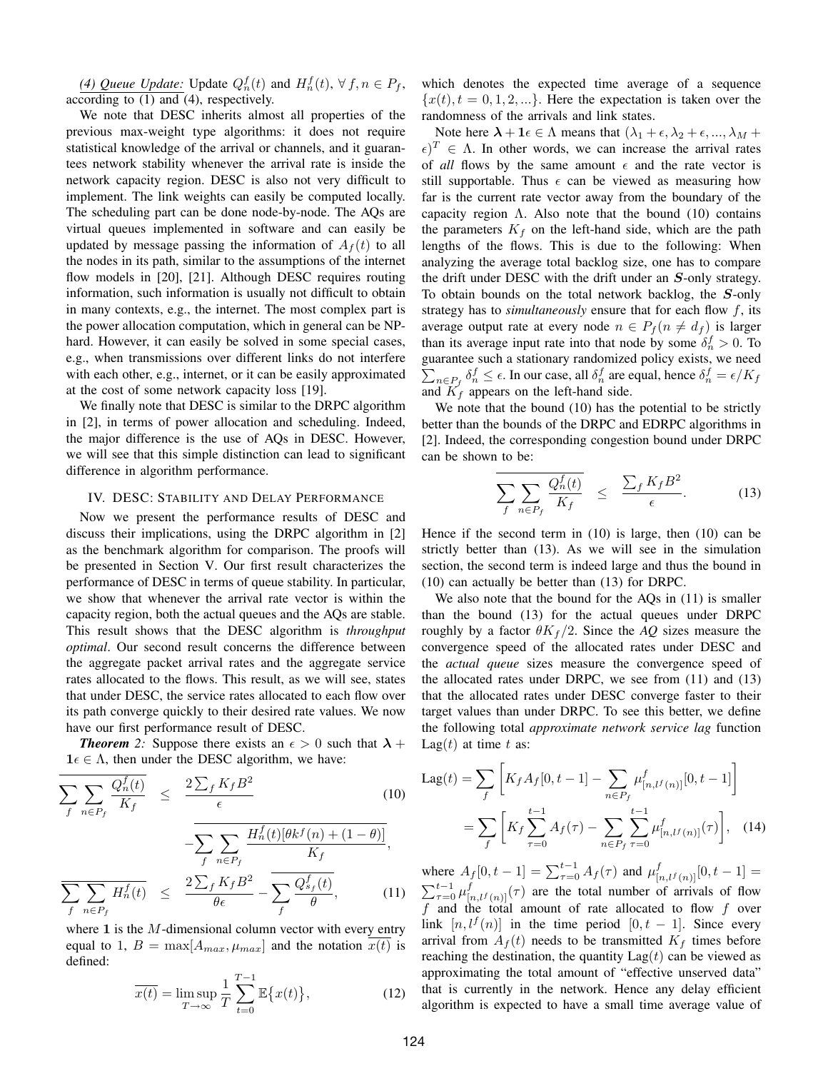*(4) Queue Update:* Update  $Q_n^f(t)$  and  $H_n^f(t)$ ,  $\forall f, n \in P_f$ , according to (1) and (4), respectively.

We note that DESC inherits almost all properties of the previous max-weight type algorithms: it does not require statistical knowledge of the arrival or channels, and it guarantees network stability whenever the arrival rate is inside the network capacity region. DESC is also not very difficult to implement. The link weights can easily be computed locally. The scheduling part can be done node-by-node. The AQs are virtual queues implemented in software and can easily be updated by message passing the information of  $A_f(t)$  to all the nodes in its path, similar to the assumptions of the internet flow models in [20], [21]. Although DESC requires routing information, such information is usually not difficult to obtain in many contexts, e.g., the internet. The most complex part is the power allocation computation, which in general can be NPhard. However, it can easily be solved in some special cases, e.g., when transmissions over different links do not interfere with each other, e.g., internet, or it can be easily approximated at the cost of some network capacity loss [19].

We finally note that DESC is similar to the DRPC algorithm in [2], in terms of power allocation and scheduling. Indeed, the major difference is the use of AQs in DESC. However, we will see that this simple distinction can lead to significant difference in algorithm performance.

## IV. DESC: STABILITY AND DELAY PERFORMANCE

Now we present the performance results of DESC and discuss their implications, using the DRPC algorithm in [2] as the benchmark algorithm for comparison. The proofs will be presented in Section V. Our first result characterizes the performance of DESC in terms of queue stability. In particular, we show that whenever the arrival rate vector is within the capacity region, both the actual queues and the AQs are stable. This result shows that the DESC algorithm is *throughput optimal*. Our second result concerns the difference between the aggregate packet arrival rates and the aggregate service rates allocated to the flows. This result, as we will see, states that under DESC, the service rates allocated to each flow over its path converge quickly to their desired rate values. We now have our first performance result of DESC.

*Theorem* 2: Suppose there exists an  $\epsilon > 0$  such that  $\lambda +$  $1 \in A$ , then under the DESC algorithm, we have:

$$
\sum_{f} \sum_{n \in P_f} \frac{Q_n^f(t)}{K_f} \le \frac{2 \sum_{f} K_f B^2}{\epsilon} \qquad (10)
$$

$$
-\sum_{f} \sum_{n \in P_f} \frac{H_n^f(t)[\theta k^f(n) + (1 - \theta)]}{K_f},
$$

$$
\sum_{f} \sum_{n \in P_f} H_n^f(t) \le \frac{2 \sum_{f} K_f B^2}{\theta \epsilon} - \sum_{f} \frac{Q_{sf}^f(t)}{\theta}, \qquad (11)
$$

where  $1$  is the  $M$ -dimensional column vector with every entry equal to 1,  $B = \max[A_{max}, \mu_{max}]$  and the notation  $x(t)$  is defined:

$$
\overline{x(t)} = \limsup_{T \to \infty} \frac{1}{T} \sum_{t=0}^{T-1} \mathbb{E}\left\{x(t)\right\},\tag{12}
$$

which denotes the expected time average of a sequence  ${x(t), t = 0, 1, 2, \ldots}$ . Here the expectation is taken over the randomness of the arrivals and link states.

Note here  $\lambda + 1 \epsilon \in \Lambda$  means that  $(\lambda_1 + \epsilon, \lambda_2 + \epsilon, ..., \lambda_M +$  $\epsilon$ )<sup>T</sup>  $\in$   $\Lambda$ . In other words, we can increase the arrival rates of *all* flows by the same amount  $\epsilon$  and the rate vector is still supportable. Thus  $\epsilon$  can be viewed as measuring how far is the current rate vector away from the boundary of the capacity region Λ. Also note that the bound (10) contains the parameters  $K_f$  on the left-hand side, which are the path lengths of the flows. This is due to the following: When analyzing the average total backlog size, one has to compare the drift under DESC with the drift under an S-only strategy. To obtain bounds on the total network backlog, the S-only strategy has to *simultaneously* ensure that for each flow f, its average output rate at every node  $n \in P_f (n \neq d_f)$  is larger than its average input rate into that node by some  $\delta_n^f > 0$ . To guarantee such a stationary randomized policy exists, we need  $\sum_{n \in P_f} \delta_n^f \leq \epsilon$ . In our case, all  $\delta_n^f$  are equal, hence  $\delta_n^f = \epsilon/K_f$ and  $K_f$  appears on the left-hand side.

We note that the bound (10) has the potential to be strictly better than the bounds of the DRPC and EDRPC algorithms in [2]. Indeed, the corresponding congestion bound under DRPC can be shown to be:

$$
\overline{\sum_{f} \sum_{n \in P_f} \frac{Q_n^f(t)}{K_f}} \leq \frac{\sum_{f} K_f B^2}{\epsilon}.
$$
 (13)

Hence if the second term in (10) is large, then (10) can be strictly better than (13). As we will see in the simulation section, the second term is indeed large and thus the bound in (10) can actually be better than (13) for DRPC.

We also note that the bound for the AQs in  $(11)$  is smaller than the bound (13) for the actual queues under DRPC roughly by a factor  $\theta K_f/2$ . Since the *AQ* sizes measure the convergence speed of the allocated rates under DESC and the *actual queue* sizes measure the convergence speed of the allocated rates under DRPC, we see from (11) and (13) that the allocated rates under DESC converge faster to their target values than under DRPC. To see this better, we define the following total *approximate network service lag* function Lag( $t$ ) at time  $t$  as:

$$
\text{Lag}(t) = \sum_{f} \left[ K_f A_f[0, t-1] - \sum_{n \in P_f} \mu_{[n, l^f(n)]}^f[0, t-1] \right]
$$

$$
= \sum_{f} \left[ K_f \sum_{\tau=0}^{t-1} A_f(\tau) - \sum_{n \in P_f} \sum_{\tau=0}^{t-1} \mu_{[n, l^f(n)]}^f(\tau) \right], \quad (14)
$$

where  $A_f[0, t-1] = \sum_{\tau=0}^{t-1} A_f(\tau)$  and  $\mu_{[n, l^f(n)]}^f[0, t-1] =$  $\sum_{\tau=0}^{t-1} \mu_{[n,l^f(n)]}^f(\tau)$  are the total number of arrivals of flow f and the total amount of rate allocated to flow f over link  $[n, l^f(n)]$  in the time period  $[0, t - 1]$ . Since every arrival from  $A_f(t)$  needs to be transmitted  $K_f$  times before reaching the destination, the quantity  $\text{Lag}(t)$  can be viewed as approximating the total amount of "effective unserved data" that is currently in the network. Hence any delay efficient algorithm is expected to have a small time average value of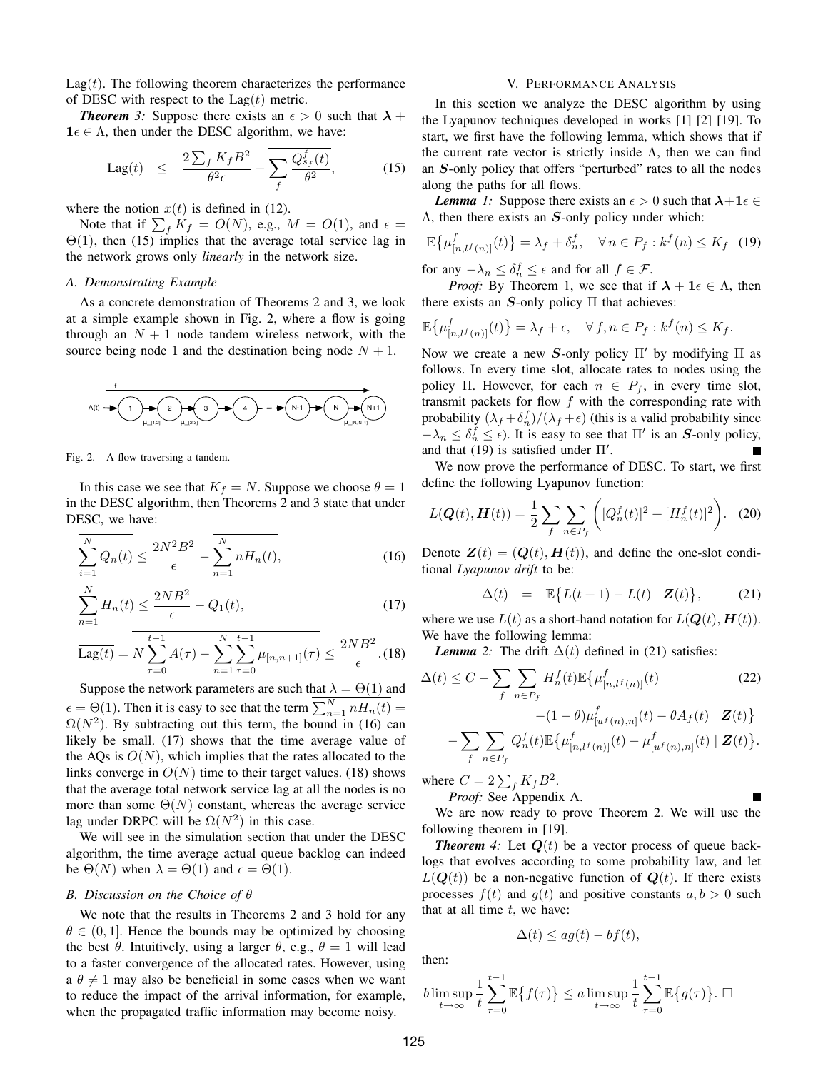$\text{Lag}(t)$ . The following theorem characterizes the performance of DESC with respect to the  $\text{Lag}(t)$  metric.

*Theorem* 3: Suppose there exists an  $\epsilon > 0$  such that  $\lambda +$  $1 \in \Lambda$ , then under the DESC algorithm, we have:

$$
\overline{\text{Lag}(t)} \quad \leq \quad \frac{2\sum_{f} K_{f} B^{2}}{\theta^{2} \epsilon} - \sum_{f} \frac{Q_{s_{f}}^{f}(t)}{\theta^{2}}, \tag{15}
$$

where the notion  $\overline{x(t)}$  is defined in (12).

Note that if  $\sum_{f} K_f = O(N)$ , e.g.,  $M = O(1)$ , and  $\epsilon =$  $\Theta(1)$ , then (15) implies that the average total service lag in the network grows only *linearly* in the network size.

## *A. Demonstrating Example*

As a concrete demonstration of Theorems 2 and 3, we look at a simple example shown in Fig. 2, where a flow is going through an  $N + 1$  node tandem wireless network, with the source being node 1 and the destination being node  $N + 1$ .



Fig. 2. A flow traversing a tandem.

In this case we see that  $K_f = N$ . Suppose we choose  $\theta = 1$ in the DESC algorithm, then Theorems 2 and 3 state that under DESC, we have:

$$
\overline{\sum_{i=1}^{N} Q_n(t)} \le \frac{2N^2 B^2}{\epsilon} - \overline{\sum_{n=1}^{N} n H_n(t)},
$$
\n(16)

$$
\sum_{n=1}^{N} H_n(t) \le \frac{2NB^2}{\epsilon} - \overline{Q_1(t)},\tag{17}
$$

$$
\overline{\text{Lag}(t)} = N \sum_{\tau=0}^{t-1} A(\tau) - \sum_{n=1}^{N} \sum_{\tau=0}^{t-1} \mu_{[n,n+1]}(\tau) \le \frac{2NB^2}{\epsilon} . (18)
$$

Suppose the network parameters are such that  $\lambda = \Theta(1)$  and  $\epsilon = \Theta(1)$ . Then it is easy to see that the term  $\sum_{n=1}^{N} nH_n(t) =$  $\Omega(N^2)$ . By subtracting out this term, the bound in (16) can likely be small. (17) shows that the time average value of the AQs is  $O(N)$ , which implies that the rates allocated to the links converge in  $O(N)$  time to their target values. (18) shows that the average total network service lag at all the nodes is no more than some  $\Theta(N)$  constant, whereas the average service lag under DRPC will be  $\Omega(N^2)$  in this case.

We will see in the simulation section that under the DESC algorithm, the time average actual queue backlog can indeed be  $\Theta(N)$  when  $\lambda = \Theta(1)$  and  $\epsilon = \Theta(1)$ .

#### *B. Discussion on the Choice of* θ

We note that the results in Theorems 2 and 3 hold for any  $\theta \in (0, 1]$ . Hence the bounds may be optimized by choosing the best  $\theta$ . Intuitively, using a larger  $\theta$ , e.g.,  $\theta = 1$  will lead to a faster convergence of the allocated rates. However, using a  $\theta \neq 1$  may also be beneficial in some cases when we want to reduce the impact of the arrival information, for example, when the propagated traffic information may become noisy.

#### V. PERFORMANCE ANALYSIS

In this section we analyze the DESC algorithm by using the Lyapunov techniques developed in works [1] [2] [19]. To start, we first have the following lemma, which shows that if the current rate vector is strictly inside  $\Lambda$ , then we can find an S-only policy that offers "perturbed" rates to all the nodes along the paths for all flows.

*Lemma 1*: Suppose there exists an  $\epsilon > 0$  such that  $\lambda + 1\epsilon \in$  $\Lambda$ , then there exists an  $S$ -only policy under which:

$$
\mathbb{E}\left\{\mu_{[n,l^f(n)]}^f(t)\right\} = \lambda_f + \delta_n^f, \quad \forall n \in P_f : k^f(n) \le K_f \quad (19)
$$

for any  $-\lambda_n \leq \delta_n^f \leq \epsilon$  and for all  $f \in \mathcal{F}$ .

*Proof:* By Theorem 1, we see that if  $\lambda + 1 \in \Lambda$ , then there exists an  $S$ -only policy  $\Pi$  that achieves:

$$
\mathbb{E}\big\{\mu_{[n,l^f(n)]}^f(t)\big\} = \lambda_f + \epsilon, \quad \forall f, n \in P_f : k^f(n) \le K_f.
$$

Now we create a new S-only policy  $\Pi'$  by modifying  $\Pi$  as follows. In every time slot, allocate rates to nodes using the policy Π. However, for each  $n \in P_f$ , in every time slot, transmit packets for flow  $f$  with the corresponding rate with probability  $(\lambda_f + \delta_n^f)/(\lambda_f + \epsilon)$  (this is a valid probability since  $-\lambda_n \leq \delta_n^f \leq \epsilon$ ). It is easy to see that  $\Pi'$  is an *S*-only policy, and that (19) is satisfied under  $\Pi'$ .

We now prove the performance of DESC. To start, we first define the following Lyapunov function:

$$
L(\mathbf{Q}(t), \mathbf{H}(t)) = \frac{1}{2} \sum_{f} \sum_{n \in P_f} \left( [Q_n^f(t)]^2 + [H_n^f(t)]^2 \right). \tag{20}
$$

Denote  $\mathbf{Z}(t) = (\mathbf{Q}(t), \mathbf{H}(t))$ , and define the one-slot conditional *Lyapunov drift* to be:

$$
\Delta(t) = \mathbb{E}\big\{L(t+1) - L(t) | \mathbf{Z}(t)\big\},\tag{21}
$$

where we use  $L(t)$  as a short-hand notation for  $L(\mathbf{Q}(t), \mathbf{H}(t)).$ We have the following lemma:

*Lemma* 2: The drift  $\Delta(t)$  defined in (21) satisfies:

$$
\Delta(t) \le C - \sum_{f} \sum_{n \in P_f} H_n^f(t) \mathbb{E} \{ \mu_{[n,l^f(n)]}^f(t) \qquad (22)
$$

$$
- (1 - \theta) \mu_{[u^f(n),n]}^f(t) - \theta A_f(t) | \mathbf{Z}(t) \}
$$

$$
- \sum_{f} \sum_{n \in P_f} Q_n^f(t) \mathbb{E} \{ \mu_{[n,l^f(n)]}^f(t) - \mu_{[u^f(n),n]}^f(t) | \mathbf{Z}(t) \}.
$$

where  $C = 2\sum_{f} K_f B^2$ .

*Proof:* See Appendix A. We are now ready to prove Theorem 2. We will use the following theorem in [19].

**Theorem** 4: Let  $Q(t)$  be a vector process of queue backlogs that evolves according to some probability law, and let  $L(\mathbf{Q}(t))$  be a non-negative function of  $\mathbf{Q}(t)$ . If there exists processes  $f(t)$  and  $g(t)$  and positive constants  $a, b > 0$  such that at all time  $t$ , we have:

$$
\Delta(t) \leq ag(t) - bf(t),
$$

then:

$$
b \limsup_{t \to \infty} \frac{1}{t} \sum_{\tau=0}^{t-1} \mathbb{E} \{ f(\tau) \} \le a \limsup_{t \to \infty} \frac{1}{t} \sum_{\tau=0}^{t-1} \mathbb{E} \{ g(\tau) \}. \ \Box
$$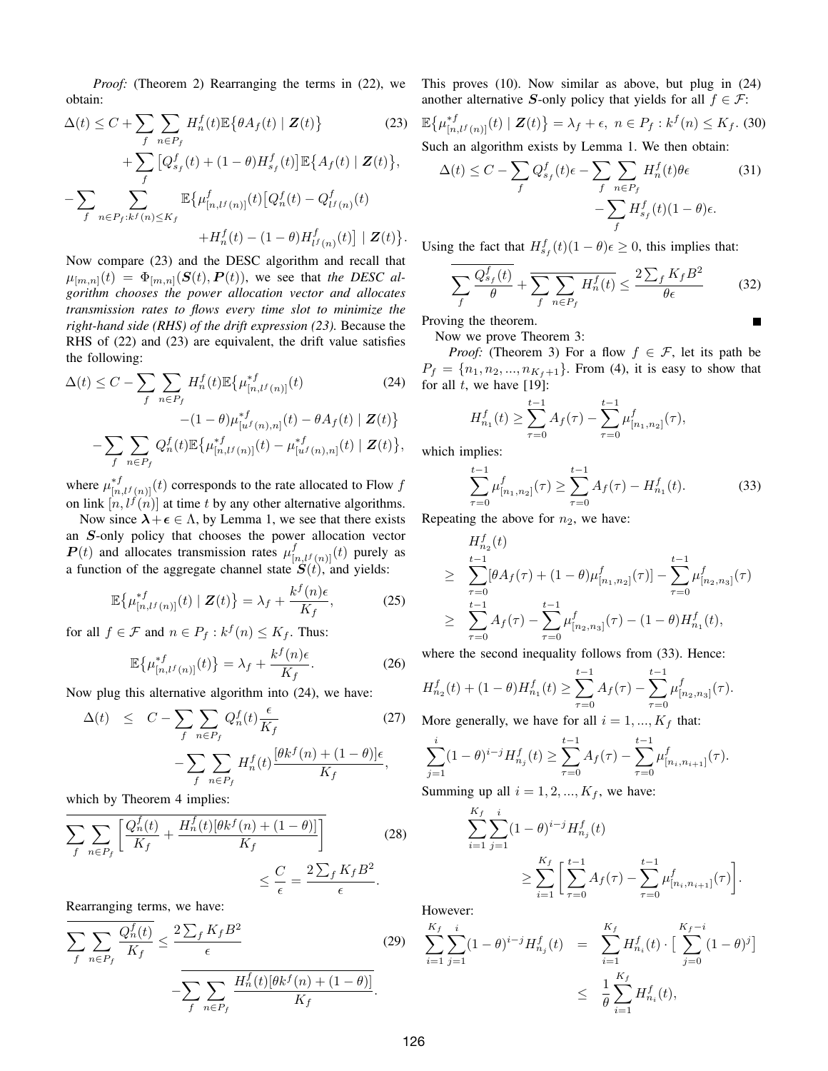*Proof:* (Theorem 2) Rearranging the terms in (22), we obtain:

$$
\Delta(t) \leq C + \sum_{f} \sum_{n \in P_{f}} H_{n}^{f}(t) \mathbb{E} \{ \theta A_{f}(t) | \mathbf{Z}(t) \} \qquad (23)
$$

$$
+ \sum_{f} [Q_{s_{f}}^{f}(t) + (1 - \theta) H_{s_{f}}^{f}(t)] \mathbb{E} \{ A_{f}(t) | \mathbf{Z}(t) \},
$$

$$
- \sum_{f} \sum_{n \in P_{f}: k^{f}(n) \leq K_{f}} \mathbb{E} \{ \mu_{[n, l^{f}(n)]}^{f}(t) [Q_{n}^{f}(t) - Q_{l^{f}(n)}^{f}(t) + H_{n}^{f}(t) - (1 - \theta) H_{l^{f}(n)}^{f}(t)] | \mathbf{Z}(t) \}.
$$

Now compare (23) and the DESC algorithm and recall that  $\mu_{[m,n]}(t) = \Phi_{[m,n]}(S(t), P(t)),$  we see that *the DESC algorithm chooses the power allocation vector and allocates transmission rates to flows every time slot to minimize the right-hand side (RHS) of the drift expression (23).* Because the RHS of (22) and (23) are equivalent, the drift value satisfies the following:

$$
\Delta(t) \le C - \sum_{f} \sum_{n \in P_f} H_n^f(t) \mathbb{E} \{ \mu_{[n, l^f(n)]}^{*f}(t) \tag{24}
$$

$$
-(1-\theta)\mu_{[u^f(n),n]}^{*f}(t) - \theta A_f(t) | \mathbf{Z}(t)\}
$$

$$
-\sum_{f}\sum_{n\in P_f}Q_n^f(t)\mathbb{E}\big\{\mu_{[n,l^f(n)]}^{*f}(t)-\mu_{[u^f(n),n]}^{*f}(t)\mid \mathbf{Z}(t)\big\},\
$$

where  $\mu_{[n,l^f(n)]}^{*f}(t)$  corresponds to the rate allocated to Flow f on link  $[n, l^f(n)]$  at time t by any other alternative algorithms.

Now since  $\lambda + \epsilon \in \Lambda$ , by Lemma 1, we see that there exists an S-only policy that chooses the power allocation vector  $P(t)$  and allocates transmission rates  $\mu_{[n,l^f(n)]}^f(t)$  purely as a function of the aggregate channel state  $\mathbf{S}(t)$ , and yields:

$$
\mathbb{E}\left\{\mu_{[n,l^f(n)]}^{*f}(t) \mid \mathbf{Z}(t)\right\} = \lambda_f + \frac{k^f(n)\epsilon}{K_f},\tag{25}
$$

for all  $f \in \mathcal{F}$  and  $n \in P_f : k^f(n) \leq K_f$ . Thus:

$$
\mathbb{E}\left\{\mu_{[n,l^f(n)]}^{*f}(t)\right\} = \lambda_f + \frac{k^f(n)\epsilon}{K_f}.\tag{26}
$$

Now plug this alternative algorithm into (24), we have:

$$
\Delta(t) \leq C - \sum_{f} \sum_{n \in P_f} Q_n^f(t) \frac{\epsilon}{K_f} \tag{27}
$$
\n
$$
- \sum_{f} \sum_{n \in P_f} H_n^f(t) \frac{[\theta k^f(n) + (1 - \theta)] \epsilon}{K_f},
$$

which by Theorem 4 implies:

$$
\overline{\sum_{f} \sum_{n \in P_f} \left[ \frac{Q_n^f(t)}{K_f} + \frac{H_n^f(t)[\theta k^f(n) + (1 - \theta)]}{K_f} \right]}
$$
(28)  

$$
\leq \frac{C}{\epsilon} = \frac{2 \sum_{f} K_f B^2}{\epsilon}.
$$

Rearranging terms, we have:

$$
\overline{\sum_{f} \sum_{n \in P_f} \frac{Q_n^f(t)}{K_f}} \le \frac{2 \sum_{f} K_f B^2}{\epsilon} \qquad (29)
$$

$$
-\overline{\sum_{f} \sum_{n \in P_f} \frac{H_n^f(t)[\theta k^f(n) + (1 - \theta)]}{K_f}}.
$$

This proves (10). Now similar as above, but plug in (24) another alternative S-only policy that yields for all  $f \in \mathcal{F}$ :

$$
\mathbb{E}\left\{\mu_{[n,l^f(n)]}^{*f}(t) \mid \mathbf{Z}(t)\right\} = \lambda_f + \epsilon, \ n \in P_f : k^f(n) \le K_f. \tag{30}
$$

Such an algorithm exists by Lemma 1. We then obtain:

$$
\Delta(t) \le C - \sum_{f} Q_{s_f}^f(t)\epsilon - \sum_{f} \sum_{n \in P_f} H_n^f(t)\theta \epsilon
$$
\n
$$
- \sum_{f} H_{s_f}^f(t)(1 - \theta)\epsilon.
$$
\n(31)

Using the fact that  $H_{s_f}^f(t)(1-\theta)\epsilon \geq 0$ , this implies that:

$$
\sum_{f} \frac{Q_{s_f}^f(t)}{\theta} + \overline{\sum_{f} \sum_{n \in P_f} H_n^f(t)} \le \frac{2 \sum_{f} K_f B^2}{\theta \epsilon} \tag{32}
$$

Г

Proving the theorem.

Now we prove Theorem 3:

*Proof:* (Theorem 3) For a flow  $f \in \mathcal{F}$ , let its path be  $P_f = \{n_1, n_2, ..., n_{K_f+1}\}.$  From (4), it is easy to show that for all  $t$ , we have [19]:

$$
H_{n_1}^f(t) \geq \sum_{\tau=0}^{t-1} A_f(\tau) - \sum_{\tau=0}^{t-1} \mu_{[n_1, n_2]}^f(\tau),
$$

which implies:

$$
\sum_{\tau=0}^{t-1} \mu_{[n_1,n_2]}^f(\tau) \ge \sum_{\tau=0}^{t-1} A_f(\tau) - H_{n_1}^f(t). \tag{33}
$$

Repeating the above for  $n_2$ , we have:

$$
H_{n_2}^f(t)
$$
  
\n
$$
\geq \sum_{\tau=0}^{t-1} [\theta A_f(\tau) + (1-\theta)\mu_{[n_1,n_2]}^f(\tau)] - \sum_{\tau=0}^{t-1} \mu_{[n_2,n_3]}^f(\tau)
$$
  
\n
$$
\geq \sum_{\tau=0}^{t-1} A_f(\tau) - \sum_{\tau=0}^{t-1} \mu_{[n_2,n_3]}^f(\tau) - (1-\theta)H_{n_1}^f(t),
$$

where the second inequality follows from  $(33)$ . Hence:

$$
H_{n_2}^f(t) + (1 - \theta)H_{n_1}^f(t) \ge \sum_{\tau=0}^{t-1} A_f(\tau) - \sum_{\tau=0}^{t-1} \mu_{[n_2, n_3]}^f(\tau).
$$

More generally, we have for all  $i = 1, ..., K_f$  that:

$$
\sum_{j=1}^{i} (1 - \theta)^{i-j} H_{n_j}^f(t) \ge \sum_{\tau=0}^{t-1} A_f(\tau) - \sum_{\tau=0}^{t-1} \mu_{[n_i, n_{i+1}]}^f(\tau).
$$

Summing up all  $i = 1, 2, ..., K_f$ , we have:

$$
\sum_{i=1}^{K_f} \sum_{j=1}^i (1-\theta)^{i-j} H_{n_j}^f(t)
$$
\n
$$
\geq \sum_{i=1}^{K_f} \left[ \sum_{\tau=0}^{t-1} A_f(\tau) - \sum_{\tau=0}^{t-1} \mu_{[n_i, n_{i+1}]}^f(\tau) \right].
$$

However:

$$
\sum_{i=1}^{K_f} \sum_{j=1}^{i} (1 - \theta)^{i-j} H_{n_j}^f(t) = \sum_{i=1}^{K_f} H_{n_i}^f(t) \cdot \left[ \sum_{j=0}^{K_f - i} (1 - \theta)^j \right]
$$
  

$$
\leq \frac{1}{\theta} \sum_{i=1}^{K_f} H_{n_i}^f(t),
$$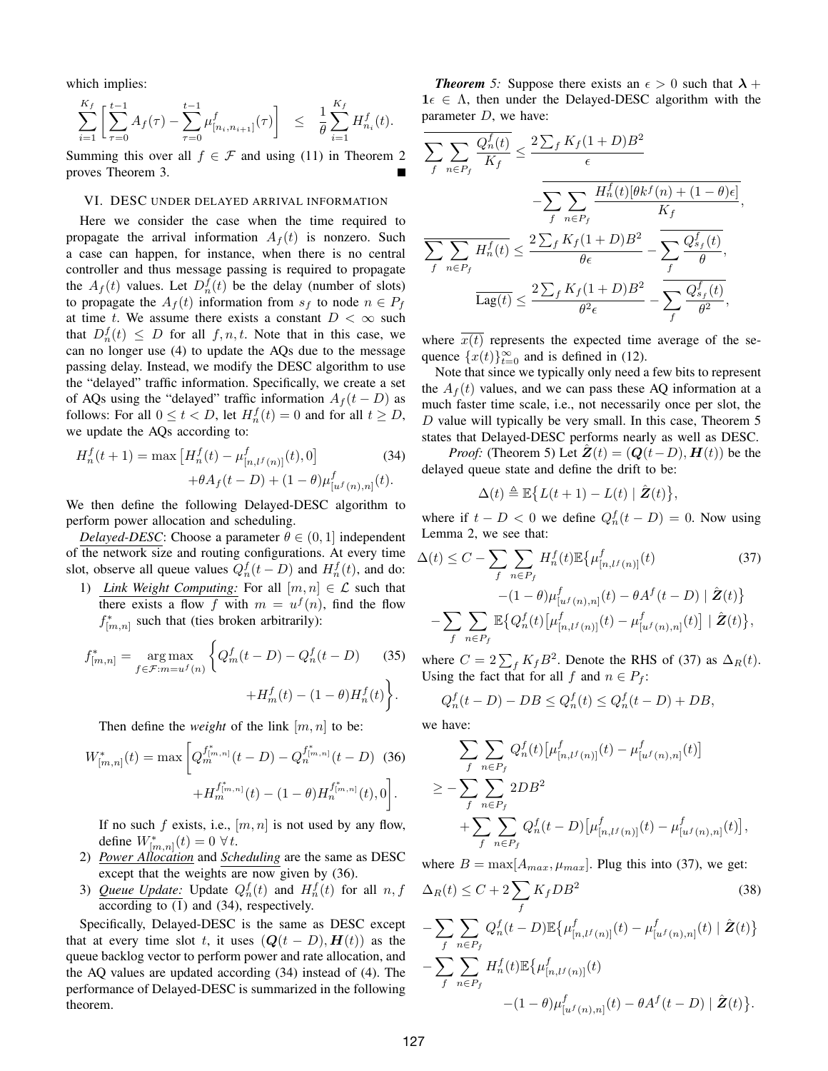which implies:

$$
\sum_{i=1}^{K_f} \bigg[ \sum_{\tau=0}^{t-1} A_f(\tau) - \sum_{\tau=0}^{t-1} \mu^f_{[n_i,n_{i+1}]}(\tau) \bigg] \quad \leq \quad \frac{1}{\theta} \sum_{i=1}^{K_f} H^f_{n_i}(t).
$$

Summing this over all  $f \in \mathcal{F}$  and using (11) in Theorem 2 proves Theorem 3. Е

## VI. DESC UNDER DELAYED ARRIVAL INFORMATION

Here we consider the case when the time required to propagate the arrival information  $A_f(t)$  is nonzero. Such a case can happen, for instance, when there is no central controller and thus message passing is required to propagate the  $A_f(t)$  values. Let  $D_n^f(t)$  be the delay (number of slots) to propagate the  $A_f(t)$  information from  $s_f$  to node  $n \in P_f$ at time t. We assume there exists a constant  $D < \infty$  such that  $D_n^f(t) \leq D$  for all  $f, n, t$ . Note that in this case, we can no longer use (4) to update the AQs due to the message passing delay. Instead, we modify the DESC algorithm to use the "delayed" traffic information. Specifically, we create a set of AQs using the "delayed" traffic information  $A_f(t - D)$  as follows: For all  $0 \le t < D$ , let  $H_n^f(t) = 0$  and for all  $t \ge D$ , we update the AQs according to:

$$
H_n^f(t+1) = \max \left[ H_n^f(t) - \mu_{[n,l^f(n)]}^f(t), 0 \right]
$$
\n
$$
+ \theta A_f(t-D) + (1-\theta) \mu_{[u^f(n),n]}^f(t).
$$
\n(34)

We then define the following Delayed-DESC algorithm to perform power allocation and scheduling.

*Delayed-DESC*: Choose a parameter  $\theta \in (0, 1]$  independent of the network size and routing configurations. At every time slot, observe all queue values  $Q_n^f(t-D)$  and  $H_n^f(t)$ , and do:

1) *Link Weight Computing:* For all  $[m, n] \in \mathcal{L}$  such that there exists a flow f with  $m = u^f(n)$ , find the flow  $f^*_{[m,n]}$  such that (ties broken arbitrarily):

$$
f_{[m,n]}^{*} = \underset{f \in \mathcal{F}: m=u^{f}(n)}{\arg \max} \left\{ Q_{m}^{f}(t-D) - Q_{n}^{f}(t-D) \right\} + H_{m}^{f}(t) - (1-\theta)H_{n}^{f}(t) \right\}.
$$
 (35)

Then define the *weight* of the link  $[m, n]$  to be:

$$
W_{[m,n]}^{*}(t) = \max \left[ Q_m^{f_{[m,n]}^{*}}(t - D) - Q_n^{f_{[m,n]}^{*}}(t - D) \right]
$$
 (36)  
+
$$
H_m^{f_{[m,n]}^{*}}(t) - (1 - \theta) H_n^{f_{[m,n]}^{*}}(t), 0 \right].
$$

If no such f exists, i.e.,  $[m, n]$  is not used by any flow, define  $W^*_{[m,n]}(t) = 0 \,\,\forall \, t$ .

- 2) *Power Allocation* and *Scheduling* are the same as DESC except that the weights are now given by (36).
- 3) *Queue Update:* Update  $Q_n^f(t)$  and  $H_n^f(t)$  for all  $n, f$ according to (1) and (34), respectively.

Specifically, Delayed-DESC is the same as DESC except that at every time slot t, it uses  $(Q(t - D), H(t))$  as the queue backlog vector to perform power and rate allocation, and the AQ values are updated according (34) instead of (4). The performance of Delayed-DESC is summarized in the following theorem.

*Theorem 5:* Suppose there exists an  $\epsilon > 0$  such that  $\lambda +$  $1 \in \Lambda$ , then under the Delayed-DESC algorithm with the parameter  $D$ , we have:

$$
\sum_{f} \sum_{n \in P_f} \frac{Q_n^f(t)}{K_f} \le \frac{2 \sum_{f} K_f (1+D)B^2}{\epsilon}
$$

$$
-\sum_{f} \sum_{n \in P_f} \frac{H_n^f(t)[\theta k^f(n) + (1-\theta)\epsilon]}{K_f},
$$

$$
\sum_{f} \sum_{n \in P_f} H_n^f(t) \le \frac{2 \sum_{f} K_f (1+D)B^2}{\theta \epsilon} - \sum_{f} \frac{Q_{s_f}^f(t)}{\theta},
$$

$$
\frac{2 \sum_{f} K_f (1+D)B^2}{\theta^2 \epsilon} - \sum_{f} \frac{Q_{s_f}^f(t)}{\theta^2},
$$

where  $\overline{x(t)}$  represents the expected time average of the sequence  $\{x(t)\}_{t=0}^{\infty}$  and is defined in (12).

Note that since we typically only need a few bits to represent the  $A_f(t)$  values, and we can pass these AQ information at a much faster time scale, i.e., not necessarily once per slot, the  $D$  value will typically be very small. In this case, Theorem 5 states that Delayed-DESC performs nearly as well as DESC.

*Proof:* (Theorem 5) Let  $\mathbf{Z}(t) = (\mathbf{Q}(t-D), \mathbf{H}(t))$  be the delayed queue state and define the drift to be:

$$
\Delta(t) \triangleq \mathbb{E}\big\{L(t+1) - L(t) \mid \hat{Z}(t)\big\},\
$$

where if  $t - D < 0$  we define  $Q_n^f(t - D) = 0$ . Now using Lemma 2, we see that:

$$
\Delta(t) \leq C - \sum_{f} \sum_{n \in P_f} H_n^f(t) \mathbb{E} \{ \mu_{[n,l^f(n)]}^f(t) \qquad (37)
$$

$$
- (1 - \theta) \mu_{[u^f(n),n]}^f(t) - \theta A^f(t - D) \mid \hat{Z}(t) \}
$$

$$
- \sum_{f} \sum_{n \in P_f} \mathbb{E} \{ Q_n^f(t) \left[ \mu_{[n,l^f(n)]}^f(t) - \mu_{[u^f(n),n]}^f(t) \right] \mid \hat{Z}(t) \},
$$

where  $C = 2\sum_{f} K_{f}B^{2}$ . Denote the RHS of (37) as  $\Delta_{R}(t)$ . Using the fact that for all f and  $n \in P_f$ :

$$
Q_n^f(t - D) - DB \le Q_n^f(t) \le Q_n^f(t - D) + DB,
$$

we have:

$$
\sum_{f} \sum_{n \in P_f} Q_n^f(t) \left[ \mu_{[n,l^f(n)]}^f(t) - \mu_{[u^f(n),n]}^f(t) \right]
$$
  
\n
$$
\geq - \sum_{f} \sum_{n \in P_f} 2DB^2
$$
  
\n
$$
+ \sum_{f} \sum_{n \in P_f} Q_n^f(t - D) \left[ \mu_{[n,l^f(n)]}^f(t) - \mu_{[u^f(n),n]}^f(t) \right],
$$

where  $B = \max[A_{max}, \mu_{max}]$ . Plug this into (37), we get:

$$
\Delta_R(t) \le C + 2 \sum_f K_f D B^2 \tag{38}
$$

$$
- \sum_{f} \sum_{n \in P_f} Q_n^f(t - D) \mathbb{E} \{ \mu_{[n,l^f(n)]}^f(t) - \mu_{[u^f(n),n]}^f(t) \mid \hat{Z}(t) \} - \sum_{f} \sum_{n \in P_f} H_n^f(t) \mathbb{E} \{ \mu_{[n,l^f(n)]}^f(t) - (1 - \theta) \mu_{[u^f(n),n]}^f(t) - \theta A^f(t - D) \mid \hat{Z}(t) \}.
$$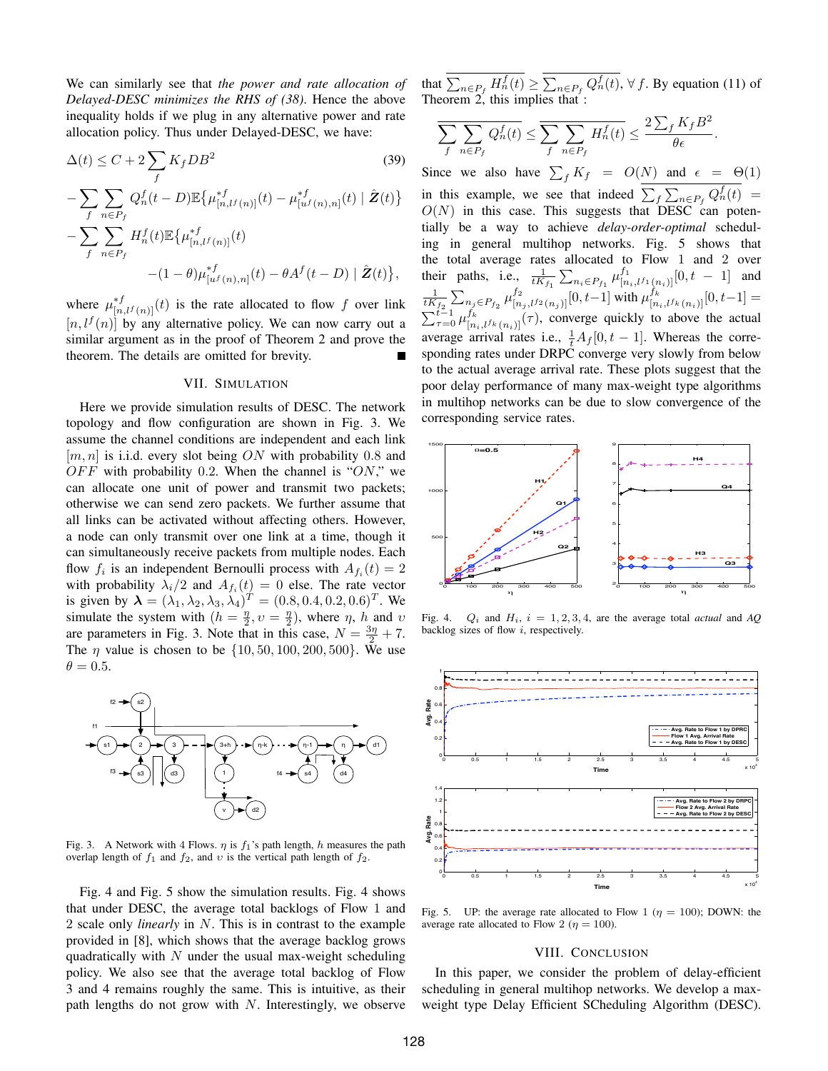We can similarly see that *the power and rate allocation of Delayed-DESC minimizes the RHS of (38)*. Hence the above inequality holds if we plug in any alternative power and rate allocation policy. Thus under Delayed-DESC, we have:

$$
\Delta(t) \leq C + 2 \sum_{f} K_{f} DB^{2}
$$
\n
$$
- \sum_{f} \sum_{n \in P_{f}} Q_{n}^{f}(t - D) \mathbb{E} \{ \mu_{[n, l^{f}(n)]}^{*f}(t) - \mu_{[u^{f}(n), n]}^{*f}(t) \mid \hat{\mathbf{Z}}(t) \} - \sum_{f} \sum_{n \in P_{f}} H_{n}^{f}(t) \mathbb{E} \{ \mu_{[n, l^{f}(n)]}^{*f}(t) - (1 - \theta) \mu_{[u^{f}(n), n]}^{*f}(t) - \theta A^{f}(t - D) \mid \hat{\mathbf{Z}}(t) \},
$$
\n(39)

where  $\mu_{[n,l^f(n)]}^{*f}(t)$  is the rate allocated to flow f over link  $[n, l^f(n)]$  by any alternative policy. We can now carry out a similar argument as in the proof of Theorem 2 and prove the theorem. The details are omitted for brevity.

### VII. SIMULATION

Here we provide simulation results of DESC. The network topology and flow configuration are shown in Fig. 3. We assume the channel conditions are independent and each link  $[m, n]$  is i.i.d. every slot being ON with probability 0.8 and OFF with probability 0.2. When the channel is "ON," we can allocate one unit of power and transmit two packets; otherwise we can send zero packets. We further assume that all links can be activated without affecting others. However, a node can only transmit over one link at a time, though it can simultaneously receive packets from multiple nodes. Each flow  $f_i$  is an independent Bernoulli process with  $A_{f_i}(t) = 2$ with probability  $\lambda_i/2$  and  $A_{f_i}(t) = 0$  else. The rate vector is given by  $\boldsymbol{\lambda} = (\lambda_1, \lambda_2, \lambda_3, \lambda_4)^T = (0.8, 0.4, 0.2, 0.6)^T$ . We simulate the system with  $(h = \frac{\eta}{2}, v = \frac{\eta}{2})$ , where  $\eta$ ,  $h$  and  $v$ are parameters in Fig. 3. Note that in this case,  $N = \frac{3\eta}{2} + 7$ . The  $\eta$  value is chosen to be  $\{10, 50, 100, 200, 500\}$ . We use  $\theta = 0.5$ .



Fig. 3. A Network with 4 Flows.  $\eta$  is  $f_1$ 's path length, h measures the path overlap length of  $f_1$  and  $f_2$ , and v is the vertical path length of  $f_2$ .

Fig. 4 and Fig. 5 show the simulation results. Fig. 4 shows that under DESC, the average total backlogs of Flow 1 and 2 scale only *linearly* in N. This is in contrast to the example provided in [8], which shows that the average backlog grows quadratically with  $N$  under the usual max-weight scheduling policy. We also see that the average total backlog of Flow 3 and 4 remains roughly the same. This is intuitive, as their path lengths do not grow with  $N$ . Interestingly, we observe that  $\sum_{n \in P_f} H_n^f(t) \ge \sum_{n \in P_f} Q_n^f(t)$ ,  $\forall f$ . By equation (11) of Theorem 2, this implies that :

$$
\overline{\sum_f \sum_{n \in P_f} Q_n^f(t)} \le \overline{\sum_f \sum_{n \in P_f} H_n^f(t)} \le \frac{2 \sum_f K_f B^2}{\theta \epsilon}.
$$

Since we also have  $\sum_{f} K_f = O(N)$  and  $\epsilon = \Theta(1)$ in this example, we see that indeed  $\sum_f \sum_{n \in P_f} Q_n^f(t)$  =  $O(N)$  in this case. This suggests that DESC can potentially be a way to achieve *delay-order-optimal* scheduling in general multihop networks. Fig. 5 shows that the total average rates allocated to Flow 1 and 2 over their paths, i.e.,  $\frac{1}{tK_{f_1}}\sum_{n_i \in P_{f_1}} \mu_{[n_i, l^{f_1}(n_i)]}^{f_1}[0, t-1]$  and  $\frac{1}{tK_{f_2}}\sum_{n_j \in P_{f_2}} \mu_{[n_j, l^{f_2}(n_j)]}^{f_2}[0, t-1]$  with  $\mu_{[n_i, l^{f_k}(n_i)]}^{f_k}[0, t-1] =$  $\sum_{\tau=0}^{i-1} \mu_{[n_i,l^f(k_{(n_i)}]}^{f_k}(\tau)$ , converge quickly to above the actual average arrival rates i.e.,  $\frac{1}{t}A_f[0, t-1]$ . Whereas the corresponding rates under DRPC converge very slowly from below to the actual average arrival rate. These plots suggest that the poor delay performance of many max-weight type algorithms in multihop networks can be due to slow convergence of the corresponding service rates.



Fig. 4.  $Q_i$  and  $H_i$ ,  $i = 1, 2, 3, 4$ , are the average total *actual* and AQ backlog sizes of flow  $i$ , respectively.



Fig. 5. UP: the average rate allocated to Flow 1 ( $\eta = 100$ ); DOWN: the average rate allocated to Flow 2 ( $\eta = 100$ ).

## VIII. CONCLUSION

In this paper, we consider the problem of delay-efficient scheduling in general multihop networks. We develop a maxweight type Delay Efficient SCheduling Algorithm (DESC).